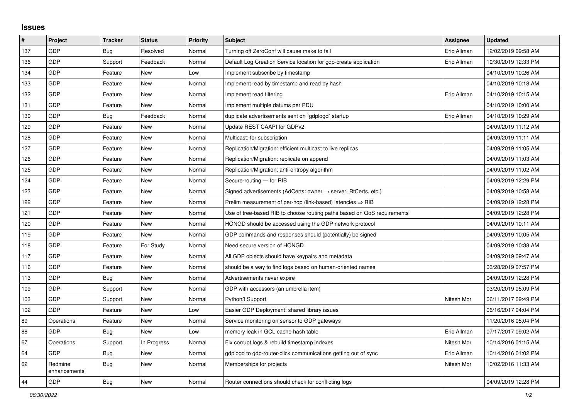## **Issues**

| $\sharp$ | Project                 | <b>Tracker</b> | <b>Status</b> | <b>Priority</b> | <b>Subject</b>                                                             | Assignee    | <b>Updated</b>      |
|----------|-------------------------|----------------|---------------|-----------------|----------------------------------------------------------------------------|-------------|---------------------|
| 137      | <b>GDP</b>              | Bug            | Resolved      | Normal          | Turning off ZeroConf will cause make to fail                               | Eric Allman | 12/02/2019 09:58 AM |
| 136      | GDP                     | Support        | Feedback      | Normal          | Default Log Creation Service location for gdp-create application           | Eric Allman | 10/30/2019 12:33 PM |
| 134      | <b>GDP</b>              | Feature        | <b>New</b>    | Low             | Implement subscribe by timestamp                                           |             | 04/10/2019 10:26 AM |
| 133      | <b>GDP</b>              | Feature        | <b>New</b>    | Normal          | Implement read by timestamp and read by hash                               |             | 04/10/2019 10:18 AM |
| 132      | <b>GDP</b>              | Feature        | <b>New</b>    | Normal          | Implement read filtering                                                   | Eric Allman | 04/10/2019 10:15 AM |
| 131      | <b>GDP</b>              | Feature        | <b>New</b>    | Normal          | Implement multiple datums per PDU                                          |             | 04/10/2019 10:00 AM |
| 130      | <b>GDP</b>              | Bug            | Feedback      | Normal          | duplicate advertisements sent on `gdplogd` startup                         | Eric Allman | 04/10/2019 10:29 AM |
| 129      | <b>GDP</b>              | Feature        | <b>New</b>    | Normal          | Update REST CAAPI for GDPv2                                                |             | 04/09/2019 11:12 AM |
| 128      | <b>GDP</b>              | Feature        | <b>New</b>    | Normal          | Multicast: for subscription                                                |             | 04/09/2019 11:11 AM |
| 127      | <b>GDP</b>              | Feature        | <b>New</b>    | Normal          | Replication/Migration: efficient multicast to live replicas                |             | 04/09/2019 11:05 AM |
| 126      | <b>GDP</b>              | Feature        | <b>New</b>    | Normal          | Replication/Migration: replicate on append                                 |             | 04/09/2019 11:03 AM |
| 125      | <b>GDP</b>              | Feature        | New           | Normal          | Replication/Migration: anti-entropy algorithm                              |             | 04/09/2019 11:02 AM |
| 124      | <b>GDP</b>              | Feature        | <b>New</b>    | Normal          | Secure-routing - for RIB                                                   |             | 04/09/2019 12:29 PM |
| 123      | <b>GDP</b>              | Feature        | <b>New</b>    | Normal          | Signed advertisements (AdCerts: owner $\rightarrow$ server, RtCerts, etc.) |             | 04/09/2019 10:58 AM |
| 122      | GDP                     | Feature        | <b>New</b>    | Normal          | Prelim measurement of per-hop (link-based) latencies $\Rightarrow$ RIB     |             | 04/09/2019 12:28 PM |
| 121      | <b>GDP</b>              | Feature        | <b>New</b>    | Normal          | Use of tree-based RIB to choose routing paths based on QoS requirements    |             | 04/09/2019 12:28 PM |
| 120      | <b>GDP</b>              | Feature        | <b>New</b>    | Normal          | HONGD should be accessed using the GDP network protocol                    |             | 04/09/2019 10:11 AM |
| 119      | <b>GDP</b>              | Feature        | <b>New</b>    | Normal          | GDP commands and responses should (potentially) be signed                  |             | 04/09/2019 10:05 AM |
| 118      | <b>GDP</b>              | Feature        | For Study     | Normal          | Need secure version of HONGD                                               |             | 04/09/2019 10:38 AM |
| 117      | <b>GDP</b>              | Feature        | <b>New</b>    | Normal          | All GDP objects should have keypairs and metadata                          |             | 04/09/2019 09:47 AM |
| 116      | <b>GDP</b>              | Feature        | <b>New</b>    | Normal          | should be a way to find logs based on human-oriented names                 |             | 03/28/2019 07:57 PM |
| 113      | <b>GDP</b>              | Bug            | <b>New</b>    | Normal          | Advertisements never expire                                                |             | 04/09/2019 12:28 PM |
| 109      | <b>GDP</b>              | Support        | <b>New</b>    | Normal          | GDP with accessors (an umbrella item)                                      |             | 03/20/2019 05:09 PM |
| 103      | <b>GDP</b>              | Support        | <b>New</b>    | Normal          | Python3 Support                                                            | Nitesh Mor  | 06/11/2017 09:49 PM |
| 102      | <b>GDP</b>              | Feature        | <b>New</b>    | Low             | Easier GDP Deployment: shared library issues                               |             | 06/16/2017 04:04 PM |
| 89       | Operations              | Feature        | <b>New</b>    | Normal          | Service monitoring on sensor to GDP gateways                               |             | 11/20/2016 05:04 PM |
| 88       | <b>GDP</b>              | Bug            | <b>New</b>    | Low             | memory leak in GCL cache hash table                                        | Eric Allman | 07/17/2017 09:02 AM |
| 67       | Operations              | Support        | In Progress   | Normal          | Fix corrupt logs & rebuild timestamp indexes                               | Nitesh Mor  | 10/14/2016 01:15 AM |
| 64       | <b>GDP</b>              | <b>Bug</b>     | <b>New</b>    | Normal          | gdplogd to gdp-router-click communications getting out of sync             | Eric Allman | 10/14/2016 01:02 PM |
| 62       | Redmine<br>enhancements | <b>Bug</b>     | <b>New</b>    | Normal          | Memberships for projects                                                   | Nitesh Mor  | 10/02/2016 11:33 AM |
| 44       | GDP                     | Bug            | <b>New</b>    | Normal          | Router connections should check for conflicting logs                       |             | 04/09/2019 12:28 PM |